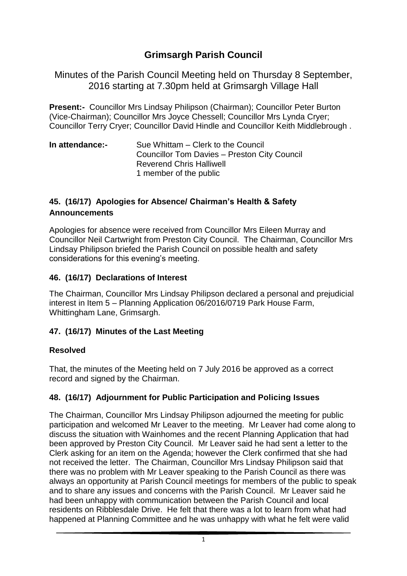# **Grimsargh Parish Council**

Minutes of the Parish Council Meeting held on Thursday 8 September, 2016 starting at 7.30pm held at Grimsargh Village Hall

**Present:-** Councillor Mrs Lindsay Philipson (Chairman); Councillor Peter Burton (Vice-Chairman); Councillor Mrs Joyce Chessell; Councillor Mrs Lynda Cryer; Councillor Terry Cryer; Councillor David Hindle and Councillor Keith Middlebrough .

| In attendance:- | Sue Whittam – Clerk to the Council           |
|-----------------|----------------------------------------------|
|                 | Councillor Tom Davies - Preston City Council |
|                 | <b>Reverend Chris Halliwell</b>              |
|                 | 1 member of the public                       |

#### **45. (16/17) Apologies for Absence/ Chairman's Health & Safety Announcements**

Apologies for absence were received from Councillor Mrs Eileen Murray and Councillor Neil Cartwright from Preston City Council. The Chairman, Councillor Mrs Lindsay Philipson briefed the Parish Council on possible health and safety considerations for this evening's meeting.

#### **46. (16/17) Declarations of Interest**

The Chairman, Councillor Mrs Lindsay Philipson declared a personal and prejudicial interest in Item 5 – Planning Application 06/2016/0719 Park House Farm, Whittingham Lane, Grimsargh.

#### **47. (16/17) Minutes of the Last Meeting**

#### **Resolved**

That, the minutes of the Meeting held on 7 July 2016 be approved as a correct record and signed by the Chairman.

#### **48. (16/17) Adjournment for Public Participation and Policing Issues**

The Chairman, Councillor Mrs Lindsay Philipson adjourned the meeting for public participation and welcomed Mr Leaver to the meeting. Mr Leaver had come along to discuss the situation with Wainhomes and the recent Planning Application that had been approved by Preston City Council. Mr Leaver said he had sent a letter to the Clerk asking for an item on the Agenda; however the Clerk confirmed that she had not received the letter. The Chairman, Councillor Mrs Lindsay Philipson said that there was no problem with Mr Leaver speaking to the Parish Council as there was always an opportunity at Parish Council meetings for members of the public to speak and to share any issues and concerns with the Parish Council. Mr Leaver said he had been unhappy with communication between the Parish Council and local residents on Ribblesdale Drive. He felt that there was a lot to learn from what had happened at Planning Committee and he was unhappy with what he felt were valid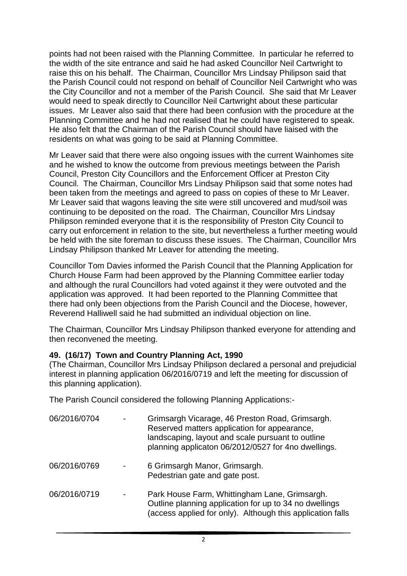points had not been raised with the Planning Committee. In particular he referred to the width of the site entrance and said he had asked Councillor Neil Cartwright to raise this on his behalf. The Chairman, Councillor Mrs Lindsay Philipson said that the Parish Council could not respond on behalf of Councillor Neil Cartwright who was the City Councillor and not a member of the Parish Council. She said that Mr Leaver would need to speak directly to Councillor Neil Cartwright about these particular issues. Mr Leaver also said that there had been confusion with the procedure at the Planning Committee and he had not realised that he could have registered to speak. He also felt that the Chairman of the Parish Council should have liaised with the residents on what was going to be said at Planning Committee.

Mr Leaver said that there were also ongoing issues with the current Wainhomes site and he wished to know the outcome from previous meetings between the Parish Council, Preston City Councillors and the Enforcement Officer at Preston City Council. The Chairman, Councillor Mrs Lindsay Philipson said that some notes had been taken from the meetings and agreed to pass on copies of these to Mr Leaver. Mr Leaver said that wagons leaving the site were still uncovered and mud/soil was continuing to be deposited on the road. The Chairman, Councillor Mrs Lindsay Philipson reminded everyone that it is the responsibility of Preston City Council to carry out enforcement in relation to the site, but nevertheless a further meeting would be held with the site foreman to discuss these issues. The Chairman, Councillor Mrs Lindsay Philipson thanked Mr Leaver for attending the meeting.

Councillor Tom Davies informed the Parish Council that the Planning Application for Church House Farm had been approved by the Planning Committee earlier today and although the rural Councillors had voted against it they were outvoted and the application was approved. It had been reported to the Planning Committee that there had only been objections from the Parish Council and the Diocese, however, Reverend Halliwell said he had submitted an individual objection on line.

The Chairman, Councillor Mrs Lindsay Philipson thanked everyone for attending and then reconvened the meeting.

#### **49. (16/17) Town and Country Planning Act, 1990**

(The Chairman, Councillor Mrs Lindsay Philipson declared a personal and prejudicial interest in planning application 06/2016/0719 and left the meeting for discussion of this planning application).

The Parish Council considered the following Planning Applications:-

| 06/2016/0704 | Grimsargh Vicarage, 46 Preston Road, Grimsargh.<br>Reserved matters application for appearance,<br>landscaping, layout and scale pursuant to outline<br>planning applicaton 06/2012/0527 for 4no dwellings. |
|--------------|-------------------------------------------------------------------------------------------------------------------------------------------------------------------------------------------------------------|
| 06/2016/0769 | 6 Grimsargh Manor, Grimsargh.<br>Pedestrian gate and gate post.                                                                                                                                             |
| 06/2016/0719 | Park House Farm, Whittingham Lane, Grimsargh.<br>Outline planning application for up to 34 no dwellings<br>(access applied for only). Although this application falls                                       |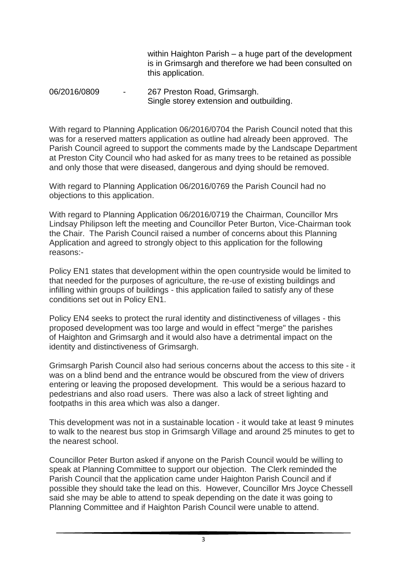within Haighton Parish – a huge part of the development is in Grimsargh and therefore we had been consulted on this application.

#### 06/2016/0809 - 267 Preston Road, Grimsargh. Single storey extension and outbuilding.

With regard to Planning Application 06/2016/0704 the Parish Council noted that this was for a reserved matters application as outline had already been approved. The Parish Council agreed to support the comments made by the Landscape Department at Preston City Council who had asked for as many trees to be retained as possible and only those that were diseased, dangerous and dying should be removed.

With regard to Planning Application 06/2016/0769 the Parish Council had no objections to this application.

With regard to Planning Application 06/2016/0719 the Chairman, Councillor Mrs Lindsay Philipson left the meeting and Councillor Peter Burton, Vice-Chairman took the Chair. The Parish Council raised a number of concerns about this Planning Application and agreed to strongly object to this application for the following reasons:-

Policy EN1 states that development within the open countryside would be limited to that needed for the purposes of agriculture, the re-use of existing buildings and infilling within groups of buildings - this application failed to satisfy any of these conditions set out in Policy EN1.

Policy EN4 seeks to protect the rural identity and distinctiveness of villages - this proposed development was too large and would in effect "merge" the parishes of Haighton and Grimsargh and it would also have a detrimental impact on the identity and distinctiveness of Grimsargh.

Grimsargh Parish Council also had serious concerns about the access to this site - it was on a blind bend and the entrance would be obscured from the view of drivers entering or leaving the proposed development. This would be a serious hazard to pedestrians and also road users. There was also a lack of street lighting and footpaths in this area which was also a danger.

This development was not in a sustainable location - it would take at least 9 minutes to walk to the nearest bus stop in Grimsargh Village and around 25 minutes to get to the nearest school.

Councillor Peter Burton asked if anyone on the Parish Council would be willing to speak at Planning Committee to support our objection. The Clerk reminded the Parish Council that the application came under Haighton Parish Council and if possible they should take the lead on this. However, Councillor Mrs Joyce Chessell said she may be able to attend to speak depending on the date it was going to Planning Committee and if Haighton Parish Council were unable to attend.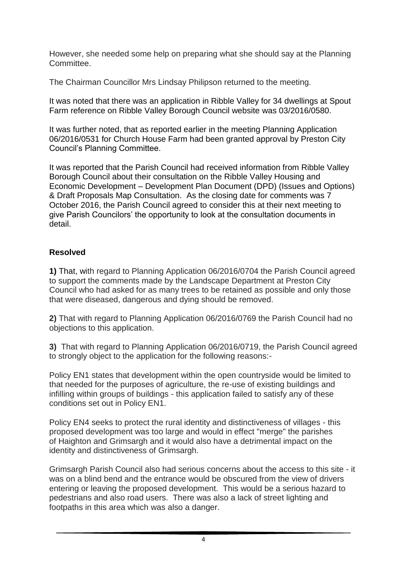However, she needed some help on preparing what she should say at the Planning Committee.

The Chairman Councillor Mrs Lindsay Philipson returned to the meeting.

It was noted that there was an application in Ribble Valley for 34 dwellings at Spout Farm reference on Ribble Valley Borough Council website was 03/2016/0580.

It was further noted, that as reported earlier in the meeting Planning Application 06/2016/0531 for Church House Farm had been granted approval by Preston City Council's Planning Committee.

It was reported that the Parish Council had received information from Ribble Valley Borough Council about their consultation on the Ribble Valley Housing and Economic Development – Development Plan Document (DPD) (Issues and Options) & Draft Proposals Map Consultation. As the closing date for comments was 7 October 2016, the Parish Council agreed to consider this at their next meeting to give Parish Councilors' the opportunity to look at the consultation documents in detail.

#### **Resolved**

**1)** That, with regard to Planning Application 06/2016/0704 the Parish Council agreed to support the comments made by the Landscape Department at Preston City Council who had asked for as many trees to be retained as possible and only those that were diseased, dangerous and dying should be removed.

**2)** That with regard to Planning Application 06/2016/0769 the Parish Council had no objections to this application.

**3)** That with regard to Planning Application 06/2016/0719, the Parish Council agreed to strongly object to the application for the following reasons:-

Policy EN1 states that development within the open countryside would be limited to that needed for the purposes of agriculture, the re-use of existing buildings and infilling within groups of buildings - this application failed to satisfy any of these conditions set out in Policy EN1.

Policy EN4 seeks to protect the rural identity and distinctiveness of villages - this proposed development was too large and would in effect "merge" the parishes of Haighton and Grimsargh and it would also have a detrimental impact on the identity and distinctiveness of Grimsargh.

Grimsargh Parish Council also had serious concerns about the access to this site - it was on a blind bend and the entrance would be obscured from the view of drivers entering or leaving the proposed development. This would be a serious hazard to pedestrians and also road users. There was also a lack of street lighting and footpaths in this area which was also a danger.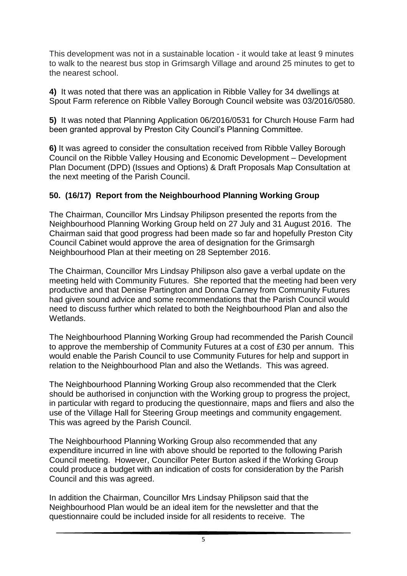This development was not in a sustainable location - it would take at least 9 minutes to walk to the nearest bus stop in Grimsargh Village and around 25 minutes to get to the nearest school.

**4)** It was noted that there was an application in Ribble Valley for 34 dwellings at Spout Farm reference on Ribble Valley Borough Council website was 03/2016/0580.

**5)** It was noted that Planning Application 06/2016/0531 for Church House Farm had been granted approval by Preston City Council's Planning Committee.

**6)** It was agreed to consider the consultation received from Ribble Valley Borough Council on the Ribble Valley Housing and Economic Development – Development Plan Document (DPD) (Issues and Options) & Draft Proposals Map Consultation at the next meeting of the Parish Council.

#### **50. (16/17) Report from the Neighbourhood Planning Working Group**

The Chairman, Councillor Mrs Lindsay Philipson presented the reports from the Neighbourhood Planning Working Group held on 27 July and 31 August 2016. The Chairman said that good progress had been made so far and hopefully Preston City Council Cabinet would approve the area of designation for the Grimsargh Neighbourhood Plan at their meeting on 28 September 2016.

The Chairman, Councillor Mrs Lindsay Philipson also gave a verbal update on the meeting held with Community Futures. She reported that the meeting had been very productive and that Denise Partington and Donna Carney from Community Futures had given sound advice and some recommendations that the Parish Council would need to discuss further which related to both the Neighbourhood Plan and also the Wetlands.

The Neighbourhood Planning Working Group had recommended the Parish Council to approve the membership of Community Futures at a cost of £30 per annum. This would enable the Parish Council to use Community Futures for help and support in relation to the Neighbourhood Plan and also the Wetlands. This was agreed.

The Neighbourhood Planning Working Group also recommended that the Clerk should be authorised in conjunction with the Working group to progress the project, in particular with regard to producing the questionnaire, maps and fliers and also the use of the Village Hall for Steering Group meetings and community engagement. This was agreed by the Parish Council.

The Neighbourhood Planning Working Group also recommended that any expenditure incurred in line with above should be reported to the following Parish Council meeting. However, Councillor Peter Burton asked if the Working Group could produce a budget with an indication of costs for consideration by the Parish Council and this was agreed.

In addition the Chairman, Councillor Mrs Lindsay Philipson said that the Neighbourhood Plan would be an ideal item for the newsletter and that the questionnaire could be included inside for all residents to receive. The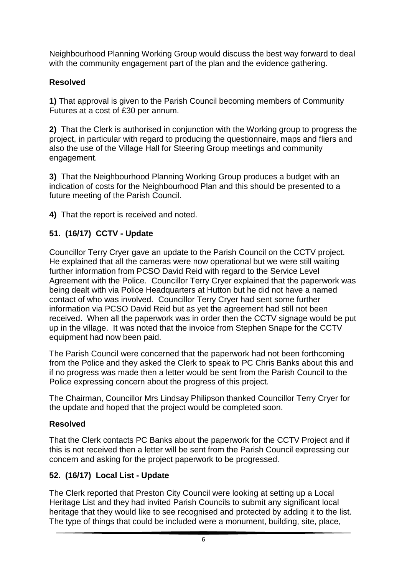Neighbourhood Planning Working Group would discuss the best way forward to deal with the community engagement part of the plan and the evidence gathering.

### **Resolved**

**1)** That approval is given to the Parish Council becoming members of Community Futures at a cost of £30 per annum.

**2)** That the Clerk is authorised in conjunction with the Working group to progress the project, in particular with regard to producing the questionnaire, maps and fliers and also the use of the Village Hall for Steering Group meetings and community engagement.

**3)** That the Neighbourhood Planning Working Group produces a budget with an indication of costs for the Neighbourhood Plan and this should be presented to a future meeting of the Parish Council.

**4)** That the report is received and noted.

## **51. (16/17) CCTV - Update**

Councillor Terry Cryer gave an update to the Parish Council on the CCTV project. He explained that all the cameras were now operational but we were still waiting further information from PCSO David Reid with regard to the Service Level Agreement with the Police. Councillor Terry Cryer explained that the paperwork was being dealt with via Police Headquarters at Hutton but he did not have a named contact of who was involved. Councillor Terry Cryer had sent some further information via PCSO David Reid but as yet the agreement had still not been received. When all the paperwork was in order then the CCTV signage would be put up in the village. It was noted that the invoice from Stephen Snape for the CCTV equipment had now been paid.

The Parish Council were concerned that the paperwork had not been forthcoming from the Police and they asked the Clerk to speak to PC Chris Banks about this and if no progress was made then a letter would be sent from the Parish Council to the Police expressing concern about the progress of this project.

The Chairman, Councillor Mrs Lindsay Philipson thanked Councillor Terry Cryer for the update and hoped that the project would be completed soon.

#### **Resolved**

That the Clerk contacts PC Banks about the paperwork for the CCTV Project and if this is not received then a letter will be sent from the Parish Council expressing our concern and asking for the project paperwork to be progressed.

## **52. (16/17) Local List - Update**

The Clerk reported that Preston City Council were looking at setting up a Local Heritage List and they had invited Parish Councils to submit any significant local heritage that they would like to see recognised and protected by adding it to the list. The type of things that could be included were a monument, building, site, place,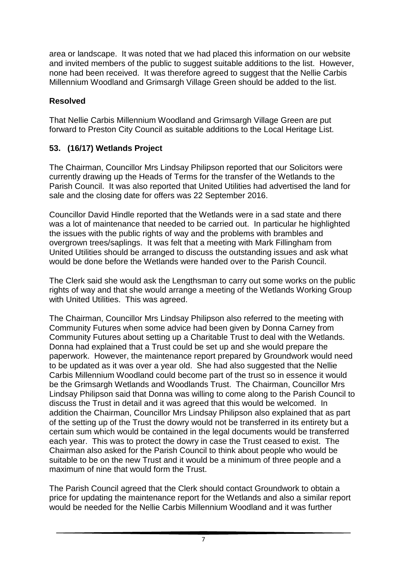area or landscape. It was noted that we had placed this information on our website and invited members of the public to suggest suitable additions to the list. However, none had been received. It was therefore agreed to suggest that the Nellie Carbis Millennium Woodland and Grimsargh Village Green should be added to the list.

### **Resolved**

That Nellie Carbis Millennium Woodland and Grimsargh Village Green are put forward to Preston City Council as suitable additions to the Local Heritage List.

## **53. (16/17) Wetlands Project**

The Chairman, Councillor Mrs Lindsay Philipson reported that our Solicitors were currently drawing up the Heads of Terms for the transfer of the Wetlands to the Parish Council. It was also reported that United Utilities had advertised the land for sale and the closing date for offers was 22 September 2016.

Councillor David Hindle reported that the Wetlands were in a sad state and there was a lot of maintenance that needed to be carried out. In particular he highlighted the issues with the public rights of way and the problems with brambles and overgrown trees/saplings. It was felt that a meeting with Mark Fillingham from United Utilities should be arranged to discuss the outstanding issues and ask what would be done before the Wetlands were handed over to the Parish Council.

The Clerk said she would ask the Lengthsman to carry out some works on the public rights of way and that she would arrange a meeting of the Wetlands Working Group with United Utilities. This was agreed.

The Chairman, Councillor Mrs Lindsay Philipson also referred to the meeting with Community Futures when some advice had been given by Donna Carney from Community Futures about setting up a Charitable Trust to deal with the Wetlands. Donna had explained that a Trust could be set up and she would prepare the paperwork. However, the maintenance report prepared by Groundwork would need to be updated as it was over a year old. She had also suggested that the Nellie Carbis Millennium Woodland could become part of the trust so in essence it would be the Grimsargh Wetlands and Woodlands Trust. The Chairman, Councillor Mrs Lindsay Philipson said that Donna was willing to come along to the Parish Council to discuss the Trust in detail and it was agreed that this would be welcomed. In addition the Chairman, Councillor Mrs Lindsay Philipson also explained that as part of the setting up of the Trust the dowry would not be transferred in its entirety but a certain sum which would be contained in the legal documents would be transferred each year. This was to protect the dowry in case the Trust ceased to exist. The Chairman also asked for the Parish Council to think about people who would be suitable to be on the new Trust and it would be a minimum of three people and a maximum of nine that would form the Trust.

The Parish Council agreed that the Clerk should contact Groundwork to obtain a price for updating the maintenance report for the Wetlands and also a similar report would be needed for the Nellie Carbis Millennium Woodland and it was further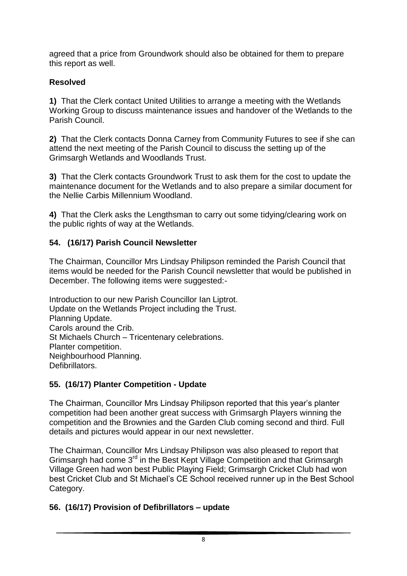agreed that a price from Groundwork should also be obtained for them to prepare this report as well.

## **Resolved**

**1)** That the Clerk contact United Utilities to arrange a meeting with the Wetlands Working Group to discuss maintenance issues and handover of the Wetlands to the Parish Council.

**2)** That the Clerk contacts Donna Carney from Community Futures to see if she can attend the next meeting of the Parish Council to discuss the setting up of the Grimsargh Wetlands and Woodlands Trust.

**3)** That the Clerk contacts Groundwork Trust to ask them for the cost to update the maintenance document for the Wetlands and to also prepare a similar document for the Nellie Carbis Millennium Woodland.

**4)** That the Clerk asks the Lengthsman to carry out some tidying/clearing work on the public rights of way at the Wetlands.

## **54. (16/17) Parish Council Newsletter**

The Chairman, Councillor Mrs Lindsay Philipson reminded the Parish Council that items would be needed for the Parish Council newsletter that would be published in December. The following items were suggested:-

Introduction to our new Parish Councillor Ian Liptrot. Update on the Wetlands Project including the Trust. Planning Update. Carols around the Crib. St Michaels Church – Tricentenary celebrations. Planter competition. Neighbourhood Planning. **Defibrillators** 

## **55. (16/17) Planter Competition - Update**

The Chairman, Councillor Mrs Lindsay Philipson reported that this year's planter competition had been another great success with Grimsargh Players winning the competition and the Brownies and the Garden Club coming second and third. Full details and pictures would appear in our next newsletter.

The Chairman, Councillor Mrs Lindsay Philipson was also pleased to report that Grimsargh had come 3<sup>rd</sup> in the Best Kept Village Competition and that Grimsargh Village Green had won best Public Playing Field; Grimsargh Cricket Club had won best Cricket Club and St Michael's CE School received runner up in the Best School Category.

# **56. (16/17) Provision of Defibrillators – update**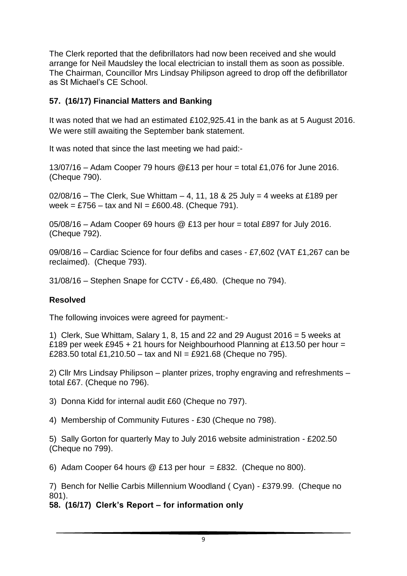The Clerk reported that the defibrillators had now been received and she would arrange for Neil Maudsley the local electrician to install them as soon as possible. The Chairman, Councillor Mrs Lindsay Philipson agreed to drop off the defibrillator as St Michael's CE School.

### **57. (16/17) Financial Matters and Banking**

It was noted that we had an estimated £102,925.41 in the bank as at 5 August 2016. We were still awaiting the September bank statement.

It was noted that since the last meeting we had paid:-

13/07/16 – Adam Cooper 79 hours @£13 per hour = total £1,076 for June 2016. (Cheque 790).

02/08/16 – The Clerk, Sue Whittam – 4, 11, 18 & 25 July = 4 weeks at £189 per week = £756 – tax and NI = £600.48. (Cheque 791).

 $05/08/16$  – Adam Cooper 69 hours @ £13 per hour = total £897 for July 2016. (Cheque 792).

09/08/16 – Cardiac Science for four defibs and cases - £7,602 (VAT £1,267 can be reclaimed). (Cheque 793).

31/08/16 – Stephen Snape for CCTV - £6,480. (Cheque no 794).

#### **Resolved**

The following invoices were agreed for payment:-

1) Clerk, Sue Whittam, Salary 1, 8, 15 and 22 and 29 August 2016 = 5 weeks at £189 per week £945 + 21 hours for Neighbourhood Planning at £13.50 per hour = £283.50 total £1,210.50 – tax and NI = £921.68 (Cheque no 795).

2) Cllr Mrs Lindsay Philipson – planter prizes, trophy engraving and refreshments – total £67. (Cheque no 796).

3) Donna Kidd for internal audit £60 (Cheque no 797).

4) Membership of Community Futures - £30 (Cheque no 798).

5) Sally Gorton for quarterly May to July 2016 website administration - £202.50 (Cheque no 799).

6) Adam Cooper 64 hours  $\textcircled{2}$  £13 per hour = £832. (Cheque no 800).

7) Bench for Nellie Carbis Millennium Woodland ( Cyan) - £379.99. (Cheque no 801).

**58. (16/17) Clerk's Report – for information only**